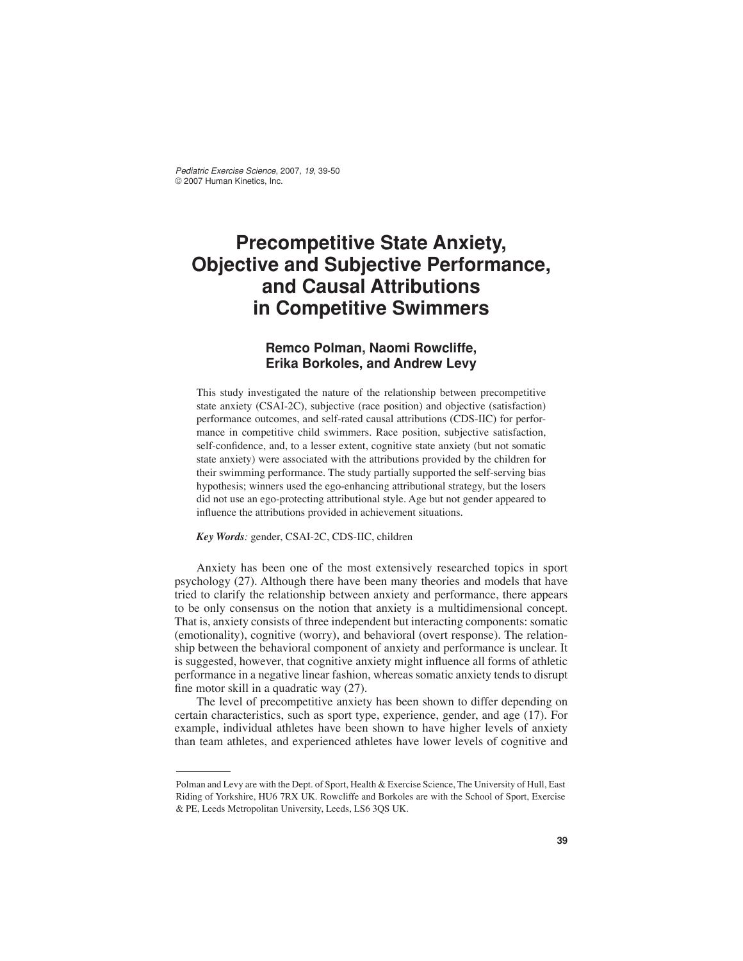*Pediatric Exercise Science*, 2007, *19*, 39-50 © 2007 Human Kinetics, Inc.

# **Precompetitive State Anxiety, Objective and Subjective Performance, and Causal Attributions in Competitive Swimmers**

# **Remco Polman, Naomi Rowcliffe, Erika Borkoles, and Andrew Levy**

This study investigated the nature of the relationship between precompetitive state anxiety (CSAI-2C), subjective (race position) and objective (satisfaction) performance outcomes, and self-rated causal attributions (CDS-IIC) for performance in competitive child swimmers. Race position, subjective satisfaction, self-confidence, and, to a lesser extent, cognitive state anxiety (but not somatic state anxiety) were associated with the attributions provided by the children for their swimming performance. The study partially supported the self-serving bias hypothesis; winners used the ego-enhancing attributional strategy, but the losers did not use an ego-protecting attributional style. Age but not gender appeared to influence the attributions provided in achievement situations.

### *Key Words:* gender, CSAI-2C, CDS-IIC, children

Anxiety has been one of the most extensively researched topics in sport psychology (27). Although there have been many theories and models that have tried to clarify the relationship between anxiety and performance, there appears to be only consensus on the notion that anxiety is a multidimensional concept. That is, anxiety consists of three independent but interacting components: somatic (emotionality), cognitive (worry), and behavioral (overt response). The relationship between the behavioral component of anxiety and performance is unclear. It is suggested, however, that cognitive anxiety might influence all forms of athletic performance in a negative linear fashion, whereas somatic anxiety tends to disrupt fine motor skill in a quadratic way  $(27)$ .

The level of precompetitive anxiety has been shown to differ depending on certain characteristics, such as sport type, experience, gender, and age (17). For example, individual athletes have been shown to have higher levels of anxiety than team athletes, and experienced athletes have lower levels of cognitive and

Polman and Levy are with the Dept. of Sport, Health & Exercise Science, The University of Hull, East Riding of Yorkshire, HU6 7RX UK. Rowcliffe and Borkoles are with the School of Sport, Exercise & PE, Leeds Metropolitan University, Leeds, LS6 3QS UK.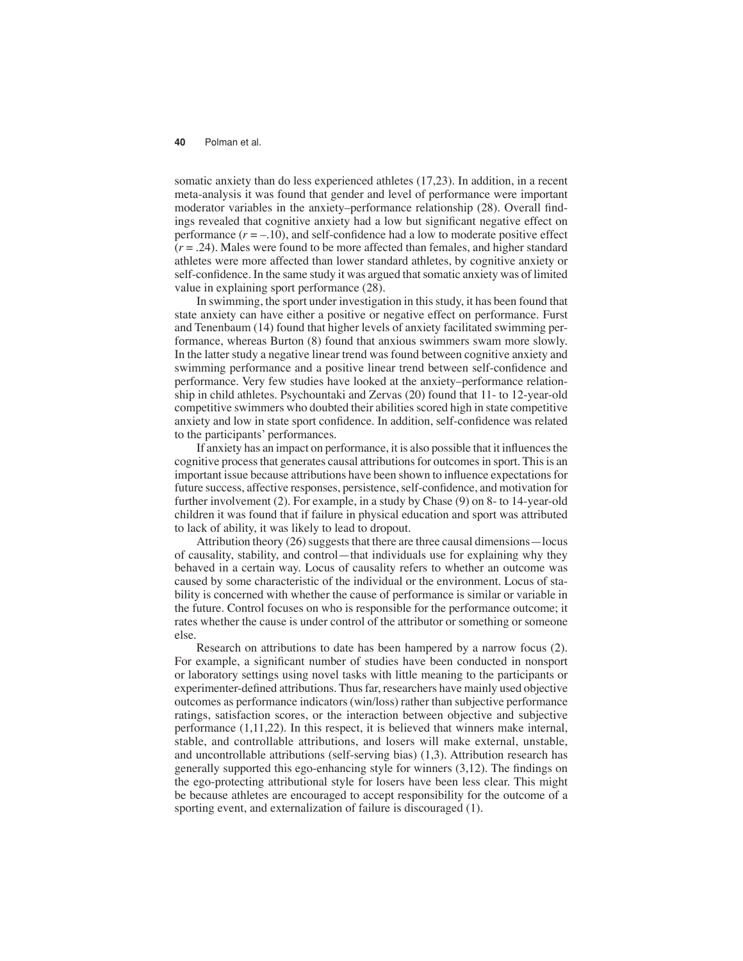somatic anxiety than do less experienced athletes (17,23). In addition, in a recent meta-analysis it was found that gender and level of performance were important moderator variables in the anxiety–performance relationship (28). Overall findings revealed that cognitive anxiety had a low but significant negative effect on performance  $(r = -10)$ , and self-confidence had a low to moderate positive effect (*r* = .24). Males were found to be more affected than females, and higher standard athletes were more affected than lower standard athletes, by cognitive anxiety or self-confidence. In the same study it was argued that somatic anxiety was of limited value in explaining sport performance (28).

In swimming, the sport under investigation in this study, it has been found that state anxiety can have either a positive or negative effect on performance. Furst and Tenenbaum (14) found that higher levels of anxiety facilitated swimming performance, whereas Burton (8) found that anxious swimmers swam more slowly. In the latter study a negative linear trend was found between cognitive anxiety and swimming performance and a positive linear trend between self-confidence and performance. Very few studies have looked at the anxiety–performance relationship in child athletes. Psychountaki and Zervas (20) found that 11- to 12-year-old competitive swimmers who doubted their abilities scored high in state competitive anxiety and low in state sport confidence. In addition, self-confidence was related to the participants' performances.

If anxiety has an impact on performance, it is also possible that it influences the cognitive process that generates causal attributions for outcomes in sport. This is an important issue because attributions have been shown to influence expectations for future success, affective responses, persistence, self-confidence, and motivation for further involvement (2). For example, in a study by Chase (9) on 8- to 14-year-old children it was found that if failure in physical education and sport was attributed to lack of ability, it was likely to lead to dropout.

Attribution theory (26) suggests that there are three causal dimensions—locus of causality, stability, and control—that individuals use for explaining why they behaved in a certain way. Locus of causality refers to whether an outcome was caused by some characteristic of the individual or the environment. Locus of stability is concerned with whether the cause of performance is similar or variable in the future. Control focuses on who is responsible for the performance outcome; it rates whether the cause is under control of the attributor or something or someone else.

Research on attributions to date has been hampered by a narrow focus (2). For example, a significant number of studies have been conducted in nonsport or laboratory settings using novel tasks with little meaning to the participants or experimenter-defined attributions. Thus far, researchers have mainly used objective outcomes as performance indicators (win/loss) rather than subjective performance ratings, satisfaction scores, or the interaction between objective and subjective performance (1,11,22). In this respect, it is believed that winners make internal, stable, and controllable attributions, and losers will make external, unstable, and uncontrollable attributions (self-serving bias) (1,3). Attribution research has generally supported this ego-enhancing style for winners  $(3,12)$ . The findings on the ego-protecting attributional style for losers have been less clear. This might be because athletes are encouraged to accept responsibility for the outcome of a sporting event, and externalization of failure is discouraged (1).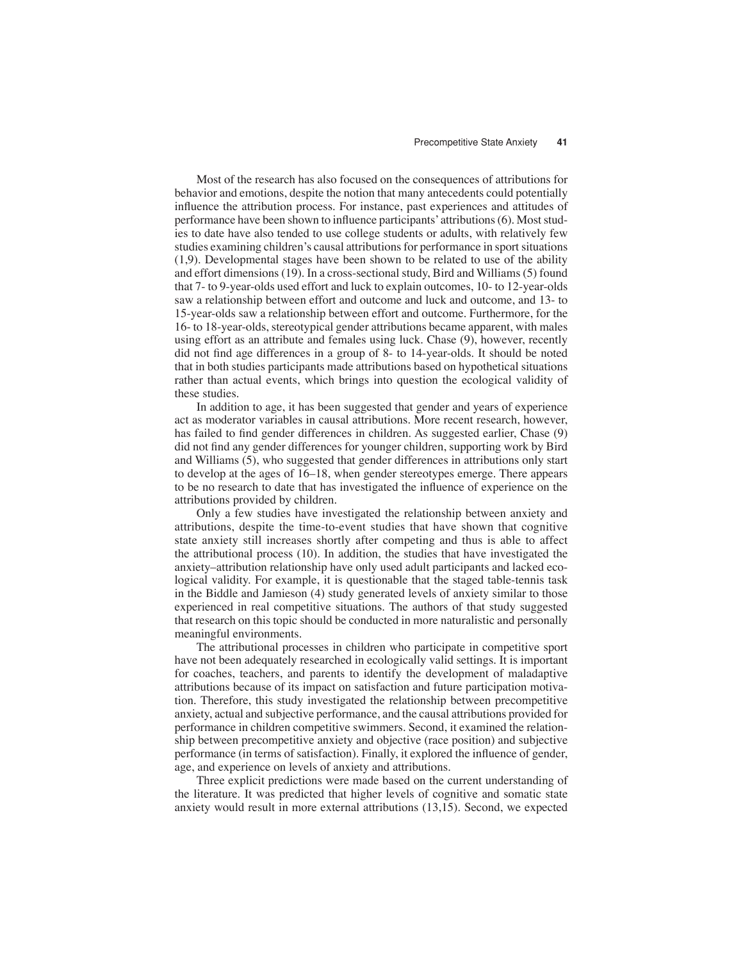#### Precompetitive State Anxiety **41**

Most of the research has also focused on the consequences of attributions for behavior and emotions, despite the notion that many antecedents could potentially influence the attribution process. For instance, past experiences and attitudes of performance have been shown to influence participants' attributions (6). Most studies to date have also tended to use college students or adults, with relatively few studies examining children's causal attributions for performance in sport situations (1,9). Developmental stages have been shown to be related to use of the ability and effort dimensions (19). In a cross-sectional study, Bird and Williams (5) found that 7- to 9-year-olds used effort and luck to explain outcomes, 10- to 12-year-olds saw a relationship between effort and outcome and luck and outcome, and 13- to 15-year-olds saw a relationship between effort and outcome. Furthermore, for the 16- to 18-year-olds, stereotypical gender attributions became apparent, with males using effort as an attribute and females using luck. Chase (9), however, recently did not find age differences in a group of 8- to 14-year-olds. It should be noted that in both studies participants made attributions based on hypothetical situations rather than actual events, which brings into question the ecological validity of these studies.

In addition to age, it has been suggested that gender and years of experience act as moderator variables in causal attributions. More recent research, however, has failed to find gender differences in children. As suggested earlier, Chase (9) did not find any gender differences for younger children, supporting work by Bird and Williams (5), who suggested that gender differences in attributions only start to develop at the ages of 16–18, when gender stereotypes emerge. There appears to be no research to date that has investigated the influence of experience on the attributions provided by children.

Only a few studies have investigated the relationship between anxiety and attributions, despite the time-to-event studies that have shown that cognitive state anxiety still increases shortly after competing and thus is able to affect the attributional process (10). In addition, the studies that have investigated the anxiety–attribution relationship have only used adult participants and lacked ecological validity. For example, it is questionable that the staged table-tennis task in the Biddle and Jamieson (4) study generated levels of anxiety similar to those experienced in real competitive situations. The authors of that study suggested that research on this topic should be conducted in more naturalistic and personally meaningful environments.

The attributional processes in children who participate in competitive sport have not been adequately researched in ecologically valid settings. It is important for coaches, teachers, and parents to identify the development of maladaptive attributions because of its impact on satisfaction and future participation motivation. Therefore, this study investigated the relationship between precompetitive anxiety, actual and subjective performance, and the causal attributions provided for performance in children competitive swimmers. Second, it examined the relationship between precompetitive anxiety and objective (race position) and subjective performance (in terms of satisfaction). Finally, it explored the influence of gender, age, and experience on levels of anxiety and attributions.

Three explicit predictions were made based on the current understanding of the literature. It was predicted that higher levels of cognitive and somatic state anxiety would result in more external attributions (13,15). Second, we expected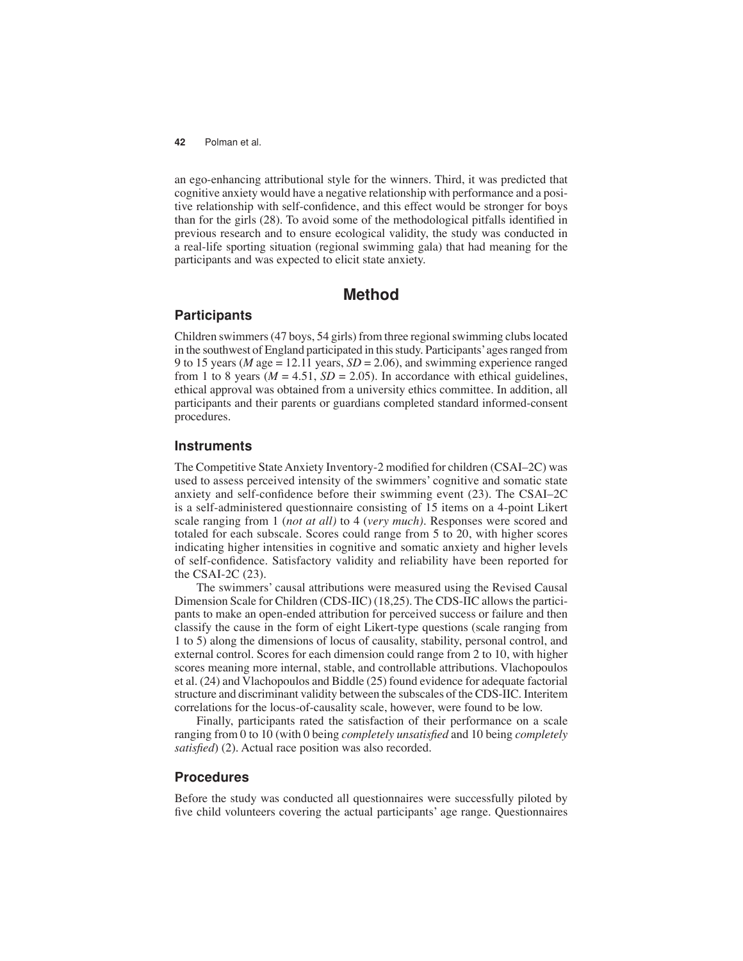an ego-enhancing attributional style for the winners. Third, it was predicted that cognitive anxiety would have a negative relationship with performance and a positive relationship with self-confidence, and this effect would be stronger for boys than for the girls (28). To avoid some of the methodological pitfalls identified in previous research and to ensure ecological validity, the study was conducted in a real-life sporting situation (regional swimming gala) that had meaning for the participants and was expected to elicit state anxiety.

# **Method**

## **Participants**

Children swimmers (47 boys, 54 girls) from three regional swimming clubs located in the southwest of England participated in this study. Participants' ages ranged from 9 to 15 years (*M* age = 12.11 years, *SD* = 2.06), and swimming experience ranged from 1 to 8 years ( $M = 4.51$ ,  $SD = 2.05$ ). In accordance with ethical guidelines, ethical approval was obtained from a university ethics committee. In addition, all participants and their parents or guardians completed standard informed-consent procedures.

### **Instruments**

The Competitive State Anxiety Inventory-2 modified for children (CSAI–2C) was used to assess perceived intensity of the swimmers' cognitive and somatic state anxiety and self-confidence before their swimming event  $(23)$ . The CSAI–2C is a self-administered questionnaire consisting of 15 items on a 4-point Likert scale ranging from 1 (*not at all)* to 4 (*very much)*. Responses were scored and totaled for each subscale. Scores could range from 5 to 20, with higher scores indicating higher intensities in cognitive and somatic anxiety and higher levels of self-confidence. Satisfactory validity and reliability have been reported for the CSAI-2C (23).

The swimmers' causal attributions were measured using the Revised Causal Dimension Scale for Children (CDS-IIC) (18,25). The CDS-IIC allows the participants to make an open-ended attribution for perceived success or failure and then classify the cause in the form of eight Likert-type questions (scale ranging from 1 to 5) along the dimensions of locus of causality, stability, personal control, and external control. Scores for each dimension could range from 2 to 10, with higher scores meaning more internal, stable, and controllable attributions. Vlachopoulos et al. (24) and Vlachopoulos and Biddle (25) found evidence for adequate factorial structure and discriminant validity between the subscales of the CDS-IIC. Interitem correlations for the locus-of-causality scale, however, were found to be low.

Finally, participants rated the satisfaction of their performance on a scale ranging from 0 to 10 (with 0 being *completely unsatisfied* and 10 being *completely* satisfied) (2). Actual race position was also recorded.

### **Procedures**

Before the study was conducted all questionnaires were successfully piloted by five child volunteers covering the actual participants' age range. Questionnaires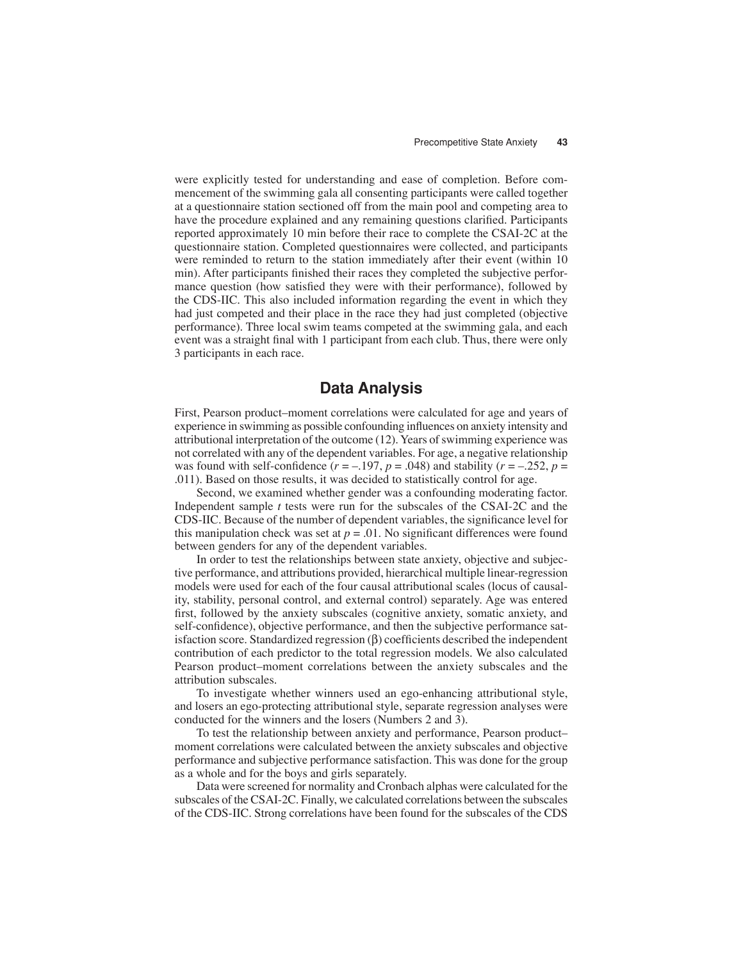were explicitly tested for understanding and ease of completion. Before commencement of the swimming gala all consenting participants were called together at a questionnaire station sectioned off from the main pool and competing area to have the procedure explained and any remaining questions clarified. Participants reported approximately 10 min before their race to complete the CSAI-2C at the questionnaire station. Completed questionnaires were collected, and participants were reminded to return to the station immediately after their event (within 10 min). After participants finished their races they completed the subjective performance question (how satisfied they were with their performance), followed by the CDS-IIC. This also included information regarding the event in which they had just competed and their place in the race they had just completed (objective performance). Three local swim teams competed at the swimming gala, and each event was a straight final with 1 participant from each club. Thus, there were only 3 participants in each race.

# **Data Analysis**

First, Pearson product–moment correlations were calculated for age and years of experience in swimming as possible confounding influences on anxiety intensity and attributional interpretation of the outcome (12). Years of swimming experience was not correlated with any of the dependent variables. For age, a negative relationship was found with self-confidence  $(r = -.197, p = .048)$  and stability  $(r = -.252, p =$ .011). Based on those results, it was decided to statistically control for age.

Second, we examined whether gender was a confounding moderating factor. Independent sample *t* tests were run for the subscales of the CSAI-2C and the CDS-IIC. Because of the number of dependent variables, the significance level for this manipulation check was set at  $p = 0.01$ . No significant differences were found between genders for any of the dependent variables.

In order to test the relationships between state anxiety, objective and subjective performance, and attributions provided, hierarchical multiple linear-regression models were used for each of the four causal attributional scales (locus of causality, stability, personal control, and external control) separately. Age was entered first, followed by the anxiety subscales (cognitive anxiety, somatic anxiety, and self-confidence), objective performance, and then the subjective performance satisfaction score. Standardized regression  $(\beta)$  coefficients described the independent contribution of each predictor to the total regression models. We also calculated Pearson product–moment correlations between the anxiety subscales and the attribution subscales.

To investigate whether winners used an ego-enhancing attributional style, and losers an ego-protecting attributional style, separate regression analyses were conducted for the winners and the losers (Numbers 2 and 3).

To test the relationship between anxiety and performance, Pearson product– moment correlations were calculated between the anxiety subscales and objective performance and subjective performance satisfaction. This was done for the group as a whole and for the boys and girls separately.

Data were screened for normality and Cronbach alphas were calculated for the subscales of the CSAI-2C. Finally, we calculated correlations between the subscales of the CDS-IIC. Strong correlations have been found for the subscales of the CDS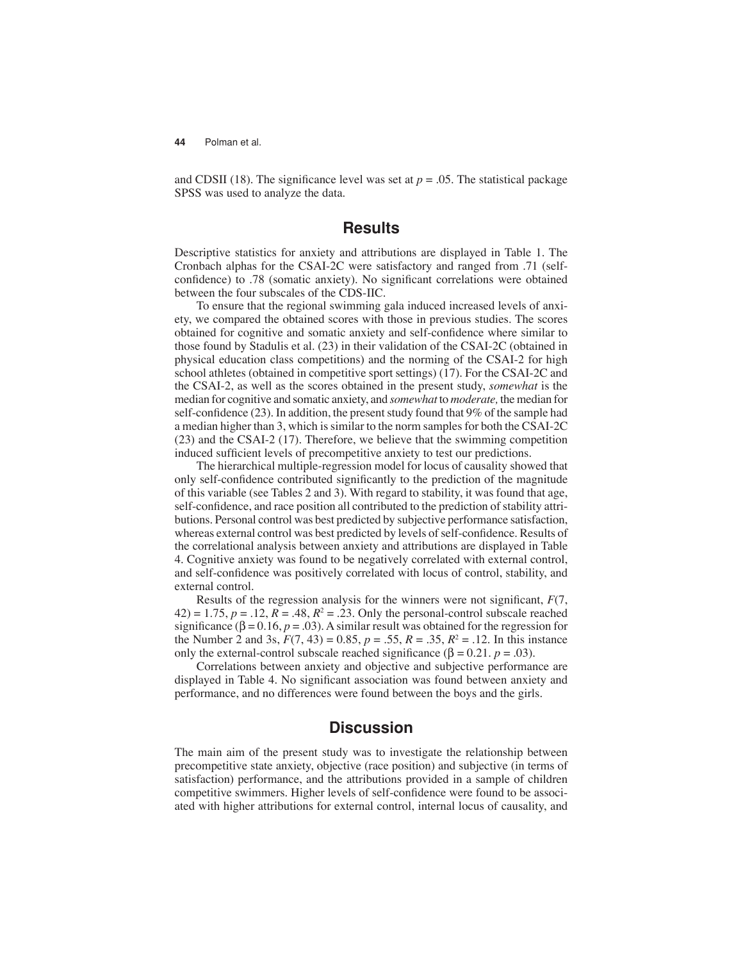and CDSII (18). The significance level was set at  $p = 0.05$ . The statistical package SPSS was used to analyze the data.

# **Results**

Descriptive statistics for anxiety and attributions are displayed in Table 1. The Cronbach alphas for the CSAI-2C were satisfactory and ranged from .71 (selfconfidence) to .78 (somatic anxiety). No significant correlations were obtained between the four subscales of the CDS-IIC.

To ensure that the regional swimming gala induced increased levels of anxiety, we compared the obtained scores with those in previous studies. The scores obtained for cognitive and somatic anxiety and self-confidence where similar to those found by Stadulis et al. (23) in their validation of the CSAI-2C (obtained in physical education class competitions) and the norming of the CSAI-2 for high school athletes (obtained in competitive sport settings) (17). For the CSAI-2C and the CSAI-2, as well as the scores obtained in the present study, *somewhat* is the median for cognitive and somatic anxiety, and *somewhat* to *moderate,* the median for self-confidence  $(23)$ . In addition, the present study found that  $9\%$  of the sample had a median higher than 3, which is similar to the norm samples for both the CSAI-2C (23) and the CSAI-2 (17). Therefore, we believe that the swimming competition induced sufficient levels of precompetitive anxiety to test our predictions.

The hierarchical multiple-regression model for locus of causality showed that only self-confidence contributed significantly to the prediction of the magnitude of this variable (see Tables 2 and 3). With regard to stability, it was found that age, self-confidence, and race position all contributed to the prediction of stability attributions. Personal control was best predicted by subjective performance satisfaction, whereas external control was best predicted by levels of self-confidence. Results of the correlational analysis between anxiety and attributions are displayed in Table 4. Cognitive anxiety was found to be negatively correlated with external control, and self-confidence was positively correlated with locus of control, stability, and external control.

Results of the regression analysis for the winners were not significant,  $F(7)$ ,  $(42) = 1.75, p = .12, R = .48, R^2 = .23$ . Only the personal-control subscale reached significance ( $\beta$  = 0.16,  $p$  = .03). A similar result was obtained for the regression for the Number 2 and 3s,  $F(7, 43) = 0.85$ ,  $p = .55$ ,  $R = .35$ ,  $R^2 = .12$ . In this instance only the external-control subscale reached significance ( $\beta = 0.21$ . *p* = .03).

Correlations between anxiety and objective and subjective performance are displayed in Table 4. No significant association was found between anxiety and performance, and no differences were found between the boys and the girls.

# **Discussion**

The main aim of the present study was to investigate the relationship between precompetitive state anxiety, objective (race position) and subjective (in terms of satisfaction) performance, and the attributions provided in a sample of children competitive swimmers. Higher levels of self-confidence were found to be associated with higher attributions for external control, internal locus of causality, and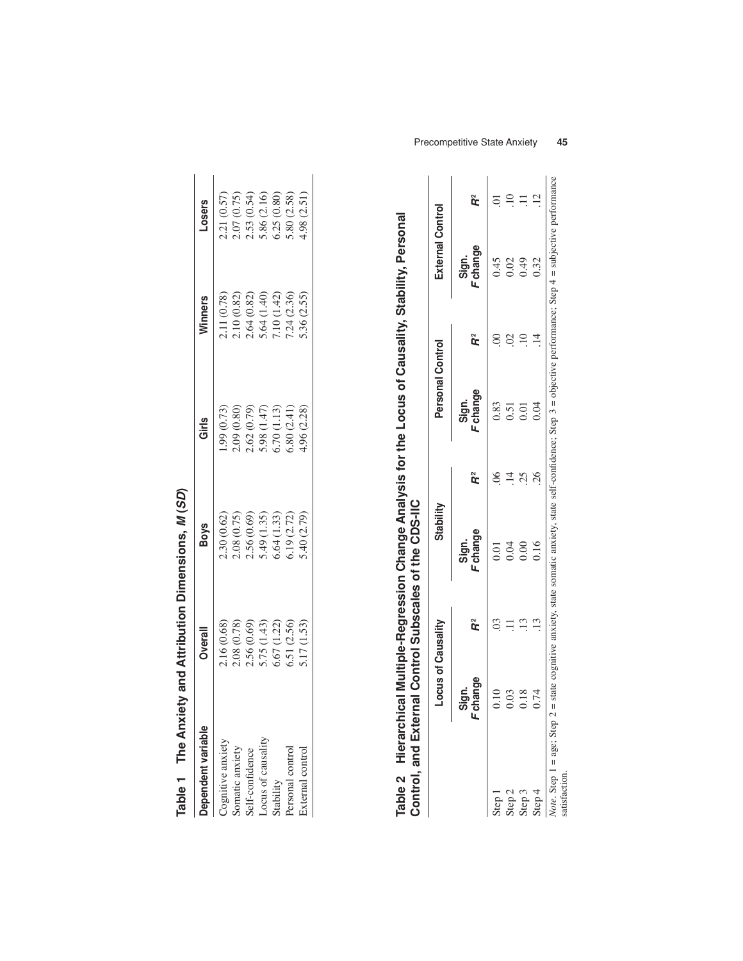| ependent variable | <b>Dverall</b>               | <b>Boys</b>                                                                  | Girls                                                                                                                       | <b>Ninners</b>                                                          | <b>Losers</b>                                                                          |
|-------------------|------------------------------|------------------------------------------------------------------------------|-----------------------------------------------------------------------------------------------------------------------------|-------------------------------------------------------------------------|----------------------------------------------------------------------------------------|
| Tognitive anxiety | .16(0.68)                    |                                                                              | .99 (0.73)                                                                                                                  |                                                                         |                                                                                        |
| omatic anxiety    | .08 (0.78)                   | $2.30(0.62)$<br>$2.08(0.75)$<br>$2.56(0.69)$<br>$5.49(1.35)$<br>$6.64(1.33)$ |                                                                                                                             | 2.11 (0.78)<br>2.10 (0.82)<br>2.64 (0.82)<br>5.64 (1.42)<br>7.24 (2.36) | 2.21 (0.57)<br>2.07 (0.75)<br>2.53 (0.54)<br>5.86 (2.50)<br>6.25 (0.80)<br>5.80 (2.51) |
| .elf-confidence   | 2.56 (0.69)                  |                                                                              |                                                                                                                             |                                                                         |                                                                                        |
| ocus of causality |                              |                                                                              |                                                                                                                             |                                                                         |                                                                                        |
| yulity            | $5.75(1.43)$<br>$6.67(1.22)$ |                                                                              |                                                                                                                             |                                                                         |                                                                                        |
| ersonal control   | 5.51 (2.56)                  | .19(2.72)                                                                    | $\begin{array}{l} 2.09\ (0.80) \\ 2.62\ (0.79) \\ 5.98\ (1.47) \\ 6.70\ (1.13) \\ 6.80\ (2.41) \\ 4.96\ (2.28) \end{array}$ |                                                                         |                                                                                        |
| xternal control   | .17(1.53)                    | .40(2.79)                                                                    |                                                                                                                             | .36(2.55)                                                               |                                                                                        |

| Ŝ<br>ן<br>ג                             |
|-----------------------------------------|
|                                         |
|                                         |
|                                         |
|                                         |
|                                         |
|                                         |
|                                         |
|                                         |
|                                         |
|                                         |
|                                         |
|                                         |
|                                         |
|                                         |
|                                         |
|                                         |
|                                         |
|                                         |
|                                         |
|                                         |
|                                         |
|                                         |
|                                         |
|                                         |
|                                         |
|                                         |
|                                         |
|                                         |
|                                         |
| The Anxiety and Attribution Dimensions. |
|                                         |
|                                         |
|                                         |
|                                         |
|                                         |
|                                         |
|                                         |
|                                         |
|                                         |
| i<br>Folio                              |
|                                         |
|                                         |
|                                         |

Table 2 Hierarchical Multiple-Regression Change Analysis for the Locus of Causality, Stability, Personal<br>Control, and External Control Subscales of the CDS-IIC **Table 2 Hierarchical Multiple-Regression Change Analysis for the Locus of Causality, Stability, Personal Control, and External Control Subscales of the CDS-IIC** 

|                                                                                                                                                                                                                                                                                                                                                  | <b>Locus of Causalit</b> |                | Stability                                                                                                                              |                | Personal Control         |                | <b>External Control</b> |                |
|--------------------------------------------------------------------------------------------------------------------------------------------------------------------------------------------------------------------------------------------------------------------------------------------------------------------------------------------------|--------------------------|----------------|----------------------------------------------------------------------------------------------------------------------------------------|----------------|--------------------------|----------------|-------------------------|----------------|
|                                                                                                                                                                                                                                                                                                                                                  | change<br>I              | $\tilde{R}^2$  | <b>F</b> change<br>Sign.                                                                                                               | $\mathbf{R}^2$ | <b>F</b> change<br>Sign. | R <sup>2</sup> | Fchange<br>Sign.        | $\mathbf{R}^2$ |
|                                                                                                                                                                                                                                                                                                                                                  | 01.C                     |                | Ξ                                                                                                                                      |                | 0.83                     |                | 0.45                    |                |
| $\frac{5}{5}$<br>$\frac{1}{2}$<br>$\frac{1}{2}$<br>$\frac{1}{2}$<br>$\frac{1}{2}$<br>$\frac{1}{2}$<br>$\frac{1}{2}$<br>$\frac{1}{2}$<br>$\frac{1}{2}$<br>$\frac{1}{2}$<br>$\frac{1}{2}$<br>$\frac{1}{2}$<br>$\frac{1}{2}$<br>$\frac{1}{2}$<br>$\frac{1}{2}$<br>$\frac{1}{2}$<br>$\frac{1}{2}$<br>$\frac{1}{2}$<br>$\frac{1}{2}$<br>$\frac{1}{2}$ | 0.03                     |                | 0.04                                                                                                                                   |                | 0.51                     |                | 0.02                    |                |
|                                                                                                                                                                                                                                                                                                                                                  | 0.18                     | $\mathbf{r}$   | 0.00                                                                                                                                   | 25             | $\Xi$                    |                | 0.49                    |                |
|                                                                                                                                                                                                                                                                                                                                                  | 0.74                     | $\frac{13}{2}$ | 0.16                                                                                                                                   | 26             | 0.04                     | $\vec{4}$      | 0.32                    | $\overline{2}$ |
| $ote.$ Step $1 = age$ ; Step                                                                                                                                                                                                                                                                                                                     |                          |                | = state cognitive anxiety, state somatic anxiety, state self-confidence; Step $3 =$ objective performance; Step $4 =$ subjective perfo |                |                          |                |                         |                |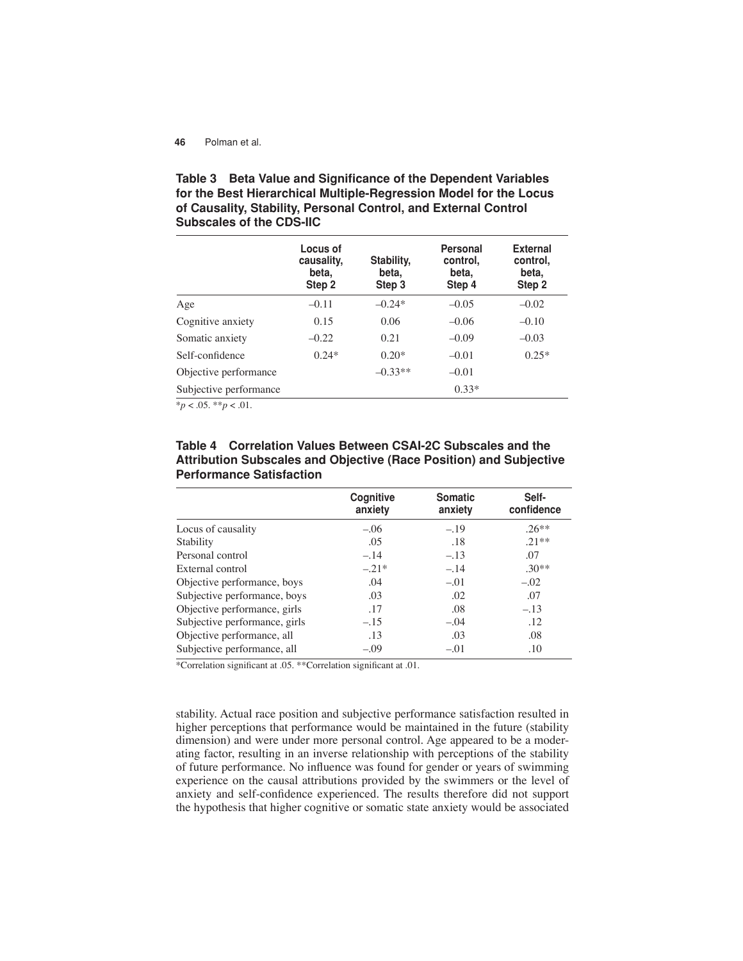Table 3 Beta Value and Significance of the Dependent Variables **for the Best Hierarchical Multiple-Regression Model for the Locus of Causality, Stability, Personal Control, and External Control Subscales of the CDS-IIC** 

|                            | Locus of<br>causality.<br>beta,<br>Step 2 | Stability.<br>beta,<br>Step 3 | Personal<br>control.<br>beta,<br>Step 4 | <b>External</b><br>control.<br>beta.<br>Step 2 |
|----------------------------|-------------------------------------------|-------------------------------|-----------------------------------------|------------------------------------------------|
| Age                        | $-0.11$                                   | $-0.24*$                      | $-0.05$                                 | $-0.02$                                        |
| Cognitive anxiety          | 0.15                                      | 0.06                          | $-0.06$                                 | $-0.10$                                        |
| Somatic anxiety            | $-0.22$                                   | 0.21                          | $-0.09$                                 | $-0.03$                                        |
| Self-confidence            | $0.24*$                                   | $0.20*$                       | $-0.01$                                 | $0.25*$                                        |
| Objective performance      |                                           | $-0.33**$                     | $-0.01$                                 |                                                |
| Subjective performance     |                                           |                               | $0.33*$                                 |                                                |
| $*_{n}$ > 05 $**_{n}$ > 01 |                                           |                               |                                         |                                                |

\**p* < .05. \*\**p* < .01.

**Table 4 Correlation Values Between CSAI-2C Subscales and the Attribution Subscales and Objective (Race Position) and Subjective Performance Satisfaction** 

|                               | Cognitive<br>anxiety | <b>Somatic</b><br>anxiety | Self-<br>confidence |
|-------------------------------|----------------------|---------------------------|---------------------|
| Locus of causality            | $-.06$               | $-.19$                    | $.26**$             |
| Stability                     | .05                  | .18                       | $21**$              |
| Personal control              | $-.14$               | $-.13$                    | .07                 |
| External control              | $-.21*$              | $-.14$                    | $30**$              |
| Objective performance, boys   | .04                  | $-.01$                    | $-.02$              |
| Subjective performance, boys  | .03                  | .02                       | .07                 |
| Objective performance, girls  | .17                  | .08                       | $-.13$              |
| Subjective performance, girls | $-.15$               | $-.04$                    | .12                 |
| Objective performance, all    | .13                  | .03                       | .08                 |
| Subjective performance, all   | $-.09$               | $-.01$                    | .10                 |

\*Correlation significant at .05. \*\*Correlation significant at .01.

stability. Actual race position and subjective performance satisfaction resulted in higher perceptions that performance would be maintained in the future (stability dimension) and were under more personal control. Age appeared to be a moderating factor, resulting in an inverse relationship with perceptions of the stability of future performance. No influence was found for gender or years of swimming experience on the causal attributions provided by the swimmers or the level of anxiety and self-confidence experienced. The results therefore did not support the hypothesis that higher cognitive or somatic state anxiety would be associated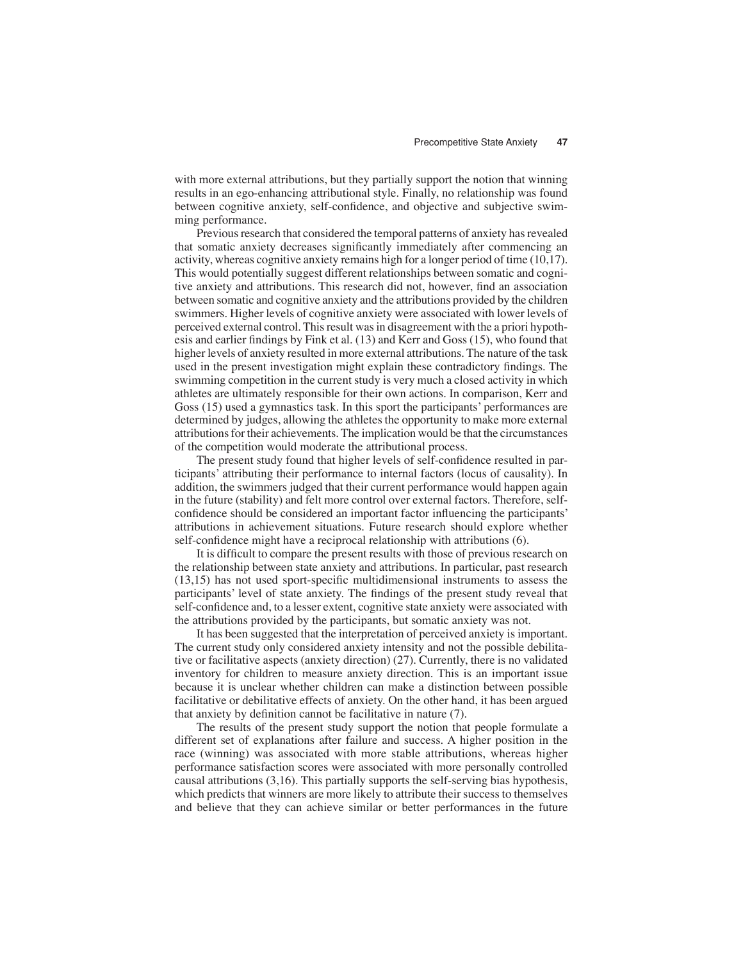with more external attributions, but they partially support the notion that winning results in an ego-enhancing attributional style. Finally, no relationship was found between cognitive anxiety, self-confidence, and objective and subjective swimming performance.

Previous research that considered the temporal patterns of anxiety has revealed that somatic anxiety decreases significantly immediately after commencing an activity, whereas cognitive anxiety remains high for a longer period of time (10,17). This would potentially suggest different relationships between somatic and cognitive anxiety and attributions. This research did not, however, find an association between somatic and cognitive anxiety and the attributions provided by the children swimmers. Higher levels of cognitive anxiety were associated with lower levels of perceived external control. This result was in disagreement with the a priori hypothesis and earlier findings by Fink et al.  $(13)$  and Kerr and Goss  $(15)$ , who found that higher levels of anxiety resulted in more external attributions. The nature of the task used in the present investigation might explain these contradictory findings. The swimming competition in the current study is very much a closed activity in which athletes are ultimately responsible for their own actions. In comparison, Kerr and Goss (15) used a gymnastics task. In this sport the participants' performances are determined by judges, allowing the athletes the opportunity to make more external attributions for their achievements. The implication would be that the circumstances of the competition would moderate the attributional process.

The present study found that higher levels of self-confidence resulted in participants' attributing their performance to internal factors (locus of causality). In addition, the swimmers judged that their current performance would happen again in the future (stability) and felt more control over external factors. Therefore, selfconfidence should be considered an important factor influencing the participants' attributions in achievement situations. Future research should explore whether self-confidence might have a reciprocal relationship with attributions (6).

It is difficult to compare the present results with those of previous research on the relationship between state anxiety and attributions. In particular, past research  $(13,15)$  has not used sport-specific multidimensional instruments to assess the participants' level of state anxiety. The findings of the present study reveal that self-confidence and, to a lesser extent, cognitive state anxiety were associated with the attributions provided by the participants, but somatic anxiety was not.

It has been suggested that the interpretation of perceived anxiety is important. The current study only considered anxiety intensity and not the possible debilitative or facilitative aspects (anxiety direction) (27). Currently, there is no validated inventory for children to measure anxiety direction. This is an important issue because it is unclear whether children can make a distinction between possible facilitative or debilitative effects of anxiety. On the other hand, it has been argued that anxiety by definition cannot be facilitative in nature  $(7)$ .

The results of the present study support the notion that people formulate a different set of explanations after failure and success. A higher position in the race (winning) was associated with more stable attributions, whereas higher performance satisfaction scores were associated with more personally controlled causal attributions (3,16). This partially supports the self-serving bias hypothesis, which predicts that winners are more likely to attribute their success to themselves and believe that they can achieve similar or better performances in the future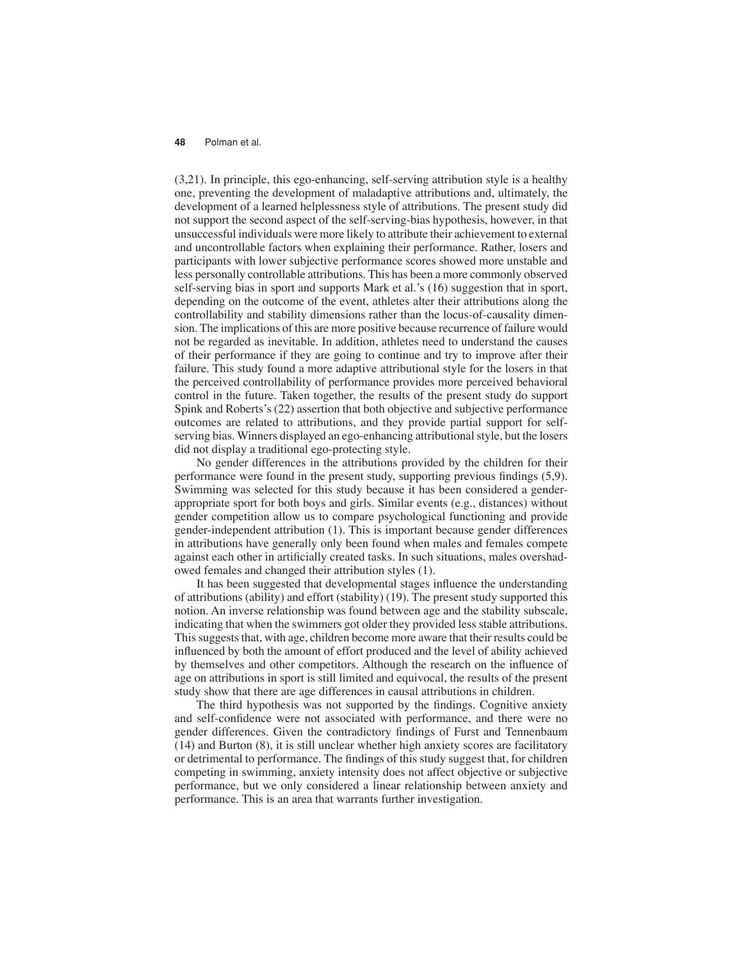(3,21). In principle, this ego-enhancing, self-serving attribution style is a healthy one, preventing the development of maladaptive attributions and, ultimately, the development of a learned helplessness style of attributions. The present study did not support the second aspect of the self-serving-bias hypothesis, however, in that unsuccessful individuals were more likely to attribute their achievement to external and uncontrollable factors when explaining their performance. Rather, losers and participants with lower subjective performance scores showed more unstable and less personally controllable attributions. This has been a more commonly observed self-serving bias in sport and supports Mark et al.'s (16) suggestion that in sport, depending on the outcome of the event, athletes alter their attributions along the controllability and stability dimensions rather than the locus-of-causality dimension. The implications of this are more positive because recurrence of failure would not be regarded as inevitable. In addition, athletes need to understand the causes of their performance if they are going to continue and try to improve after their failure. This study found a more adaptive attributional style for the losers in that the perceived controllability of performance provides more perceived behavioral control in the future. Taken together, the results of the present study do support Spink and Roberts's (22) assertion that both objective and subjective performance outcomes are related to attributions, and they provide partial support for selfserving bias. Winners displayed an ego-enhancing attributional style, but the losers did not display a traditional ego-protecting style.

No gender differences in the attributions provided by the children for their performance were found in the present study, supporting previous findings  $(5,9)$ . Swimming was selected for this study because it has been considered a genderappropriate sport for both boys and girls. Similar events (e.g., distances) without gender competition allow us to compare psychological functioning and provide gender-independent attribution (1). This is important because gender differences in attributions have generally only been found when males and females compete against each other in artificially created tasks. In such situations, males overshadowed females and changed their attribution styles (1).

It has been suggested that developmental stages influence the understanding of attributions (ability) and effort (stability) (19). The present study supported this notion. An inverse relationship was found between age and the stability subscale, indicating that when the swimmers got older they provided less stable attributions. This suggests that, with age, children become more aware that their results could be influenced by both the amount of effort produced and the level of ability achieved by themselves and other competitors. Although the research on the influence of age on attributions in sport is still limited and equivocal, the results of the present study show that there are age differences in causal attributions in children.

The third hypothesis was not supported by the findings. Cognitive anxiety and self-confidence were not associated with performance, and there were no gender differences. Given the contradictory findings of Furst and Tennenbaum (14) and Burton (8), it is still unclear whether high anxiety scores are facilitatory or detrimental to performance. The findings of this study suggest that, for children competing in swimming, anxiety intensity does not affect objective or subjective performance, but we only considered a linear relationship between anxiety and performance. This is an area that warrants further investigation.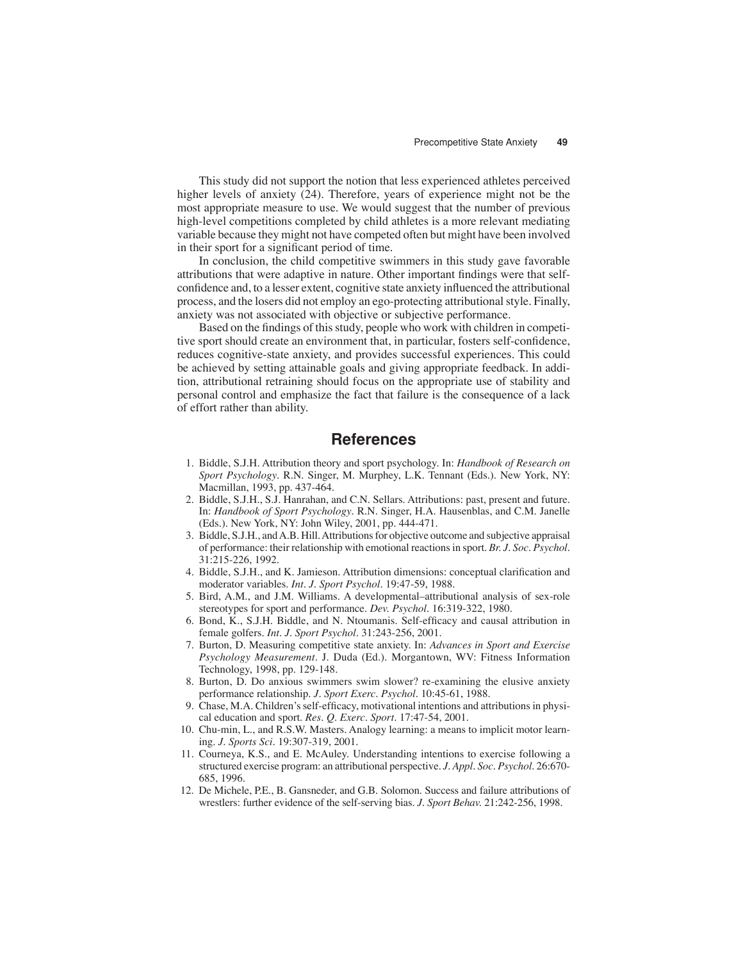This study did not support the notion that less experienced athletes perceived higher levels of anxiety (24). Therefore, years of experience might not be the most appropriate measure to use. We would suggest that the number of previous high-level competitions completed by child athletes is a more relevant mediating variable because they might not have competed often but might have been involved in their sport for a significant period of time.

In conclusion, the child competitive swimmers in this study gave favorable attributions that were adaptive in nature. Other important findings were that selfconfidence and, to a lesser extent, cognitive state anxiety influenced the attributional process, and the losers did not employ an ego-protecting attributional style. Finally, anxiety was not associated with objective or subjective performance.

Based on the findings of this study, people who work with children in competitive sport should create an environment that, in particular, fosters self-confidence, reduces cognitive-state anxiety, and provides successful experiences. This could be achieved by setting attainable goals and giving appropriate feedback. In addition, attributional retraining should focus on the appropriate use of stability and personal control and emphasize the fact that failure is the consequence of a lack of effort rather than ability.

# **References**

- 1. Biddle, S.J.H. Attribution theory and sport psychology. In: *Handbook of Research on Sport Psychology*. R.N. Singer, M. Murphey, L.K. Tennant (Eds.). New York, NY: Macmillan, 1993, pp. 437-464.
- 2. Biddle, S.J.H., S.J. Hanrahan, and C.N. Sellars. Attributions: past, present and future. In: *Handbook of Sport Psychology*. R.N. Singer, H.A. Hausenblas, and C.M. Janelle (Eds.). New York, NY: John Wiley, 2001, pp. 444-471.
- 3. Biddle, S.J.H., and A.B. Hill. Attributions for objective outcome and subjective appraisal of performance: their relationship with emotional reactions in sport. *Br. J. Soc. Psychol.* 31:215-226, 1992.
- 4. Biddle, S.J.H., and K. Jamieson. Attribution dimensions: conceptual clarification and moderator variables. *Int. J. Sport Psychol.* 19:47-59, 1988.
- 5. Bird, A.M., and J.M. Williams. A developmental–attributional analysis of sex-role stereotypes for sport and performance. *Dev. Psychol.* 16:319-322, 1980.
- 6. Bond, K., S.J.H. Biddle, and N. Ntoumanis. Self-efficacy and causal attribution in female golfers. *Int. J. Sport Psychol.* 31:243-256, 2001.
- 7. Burton, D. Measuring competitive state anxiety. In: *Advances in Sport and Exercise Psychology Measurement*. J. Duda (Ed.). Morgantown, WV: Fitness Information Technology, 1998, pp. 129-148.
- 8. Burton, D. Do anxious swimmers swim slower? re-examining the elusive anxiety performance relationship. *J. Sport Exerc. Psychol.* 10:45-61, 1988.
- 9. Chase, M.A. Children's self-efficacy, motivational intentions and attributions in physical education and sport. *Res. Q. Exerc. Sport*. 17:47-54, 2001.
- 10. Chu-min, L., and R.S.W. Masters. Analogy learning: a means to implicit motor learning*. J. Sports Sci.* 19:307-319, 2001.
- 11. Courneya, K.S., and E. McAuley. Understanding intentions to exercise following a structured exercise program: an attributional perspective. *J. Appl. Soc. Psychol.* 26:670- 685, 1996.
- 12. De Michele, P.E., B. Gansneder, and G.B. Solomon. Success and failure attributions of wrestlers: further evidence of the self-serving bias. *J. Sport Behav.* 21:242-256, 1998.